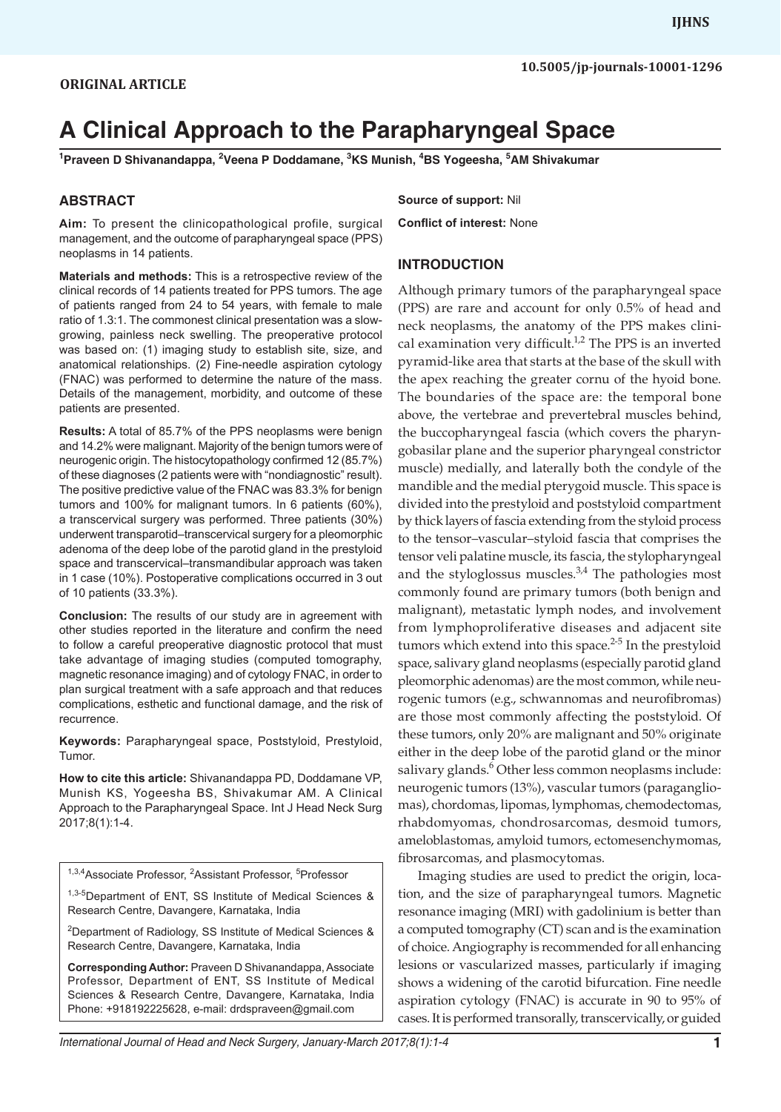# **A Clinical Approach to the Parapharyngeal Space**

**1 Praveen D Shivanandappa, 2 Veena P Doddamane, 3 KS Munish, 4 BS Yogeesha, 5 AM Shivakumar**

### **ABSTRACT**

**Aim:** To present the clinicopathological profile, surgical management, and the outcome of parapharyngeal space (PPS) neoplasms in 14 patients.

**Materials and methods:** This is a retrospective review of the clinical records of 14 patients treated for PPS tumors. The age of patients ranged from 24 to 54 years, with female to male ratio of 1.3:1. The commonest clinical presentation was a slowgrowing, painless neck swelling. The preoperative protocol was based on: (1) imaging study to establish site, size, and anatomical relationships. (2) Fine-needle aspiration cytology (FNAC) was performed to determine the nature of the mass. Details of the management, morbidity, and outcome of these patients are presented.

**Results:** A total of 85.7% of the PPS neoplasms were benign and 14.2% were malignant. Majority of the benign tumors were of neurogenic origin. The histocytopathology confirmed 12 (85.7%) of these diagnoses (2 patients were with "nondiagnostic" result). The positive predictive value of the FNAC was 83.3% for benign tumors and 100% for malignant tumors. In 6 patients (60%), a transcervical surgery was performed. Three patients (30%) underwent transparotid–transcervical surgery for a pleomorphic adenoma of the deep lobe of the parotid gland in the prestyloid space and transcervical–transmandibular approach was taken in 1 case (10%). Postoperative complications occurred in 3 out of 10 patients (33.3%).

**Conclusion:** The results of our study are in agreement with other studies reported in the literature and confirm the need to follow a careful preoperative diagnostic protocol that must take advantage of imaging studies (computed tomography, magnetic resonance imaging) and of cytology FNAC, in order to plan surgical treatment with a safe approach and that reduces complications, esthetic and functional damage, and the risk of recurrence.

**Keywords:** Parapharyngeal space, Poststyloid, Prestyloid, Tumor.

**How to cite this article:** Shivanandappa PD, Doddamane VP, Munish KS, Yogeesha BS, Shivakumar AM. A Clinical Approach to the Parapharyngeal Space. Int J Head Neck Surg 2017;8(1):1-4.

<sup>1,3,4</sup> Associate Professor, <sup>2</sup> Assistant Professor, <sup>5</sup> Professor

1,3-5Department of ENT, SS Institute of Medical Sciences & Research Centre, Davangere, Karnataka, India

<sup>2</sup>Department of Radiology, SS Institute of Medical Sciences & Research Centre, Davangere, Karnataka, India

**Corresponding Author:** Praveen D Shivanandappa, Associate Professor, Department of ENT, SS Institute of Medical Sciences & Research Centre, Davangere, Karnataka, India Phone: +918192225628, e-mail: drdspraveen@gmail.com

**Source of support:** Nil

**Conflict of interest:** None

## **INTRODUCTION**

Although primary tumors of the parapharyngeal space (PPS) are rare and account for only 0.5% of head and neck neoplasms, the anatomy of the PPS makes clinical examination very difficult.<sup>1,2</sup> The PPS is an inverted pyramid-like area that starts at the base of the skull with the apex reaching the greater cornu of the hyoid bone. The boundaries of the space are: the temporal bone above, the vertebrae and prevertebral muscles behind, the buccopharyngeal fascia (which covers the pharyngobasilar plane and the superior pharyngeal constrictor muscle) medially, and laterally both the condyle of the mandible and the medial pterygoid muscle. This space is divided into the prestyloid and poststyloid compartment by thick layers of fascia extending from the styloid process to the tensor–vascular–styloid fascia that comprises the tensor veli palatine muscle, its fascia, the stylopharyngeal and the styloglossus muscles. $3,4$  The pathologies most commonly found are primary tumors (both benign and malignant), metastatic lymph nodes, and involvement from lymphoproliferative diseases and adjacent site tumors which extend into this space. $2-5$  In the prestyloid space, salivary gland neoplasms (especially parotid gland pleomorphic adenomas) are the most common, while neurogenic tumors (e.g., schwannomas and neurofibromas) are those most commonly affecting the poststyloid. Of these tumors, only 20% are malignant and 50% originate either in the deep lobe of the parotid gland or the minor salivary glands.<sup>6</sup> Other less common neoplasms include: neurogenic tumors (13%), vascular tumors (paragangliomas), chordomas, lipomas, lymphomas, chemodectomas, rhabdomyomas, chondrosarcomas, desmoid tumors, ameloblastomas, amyloid tumors, ectomesenchymomas, fibrosarcomas, and plasmocytomas.

Imaging studies are used to predict the origin, location, and the size of parapharyngeal tumors. Magnetic resonance imaging (MRI) with gadolinium is better than a computed tomography (CT) scan and is the examination of choice. Angiography is recommended for all enhancing lesions or vascularized masses, particularly if imaging shows a widening of the carotid bifurcation. Fine needle aspiration cytology (FNAC) is accurate in 90 to 95% of cases. It is performed transorally, transcervically, or guided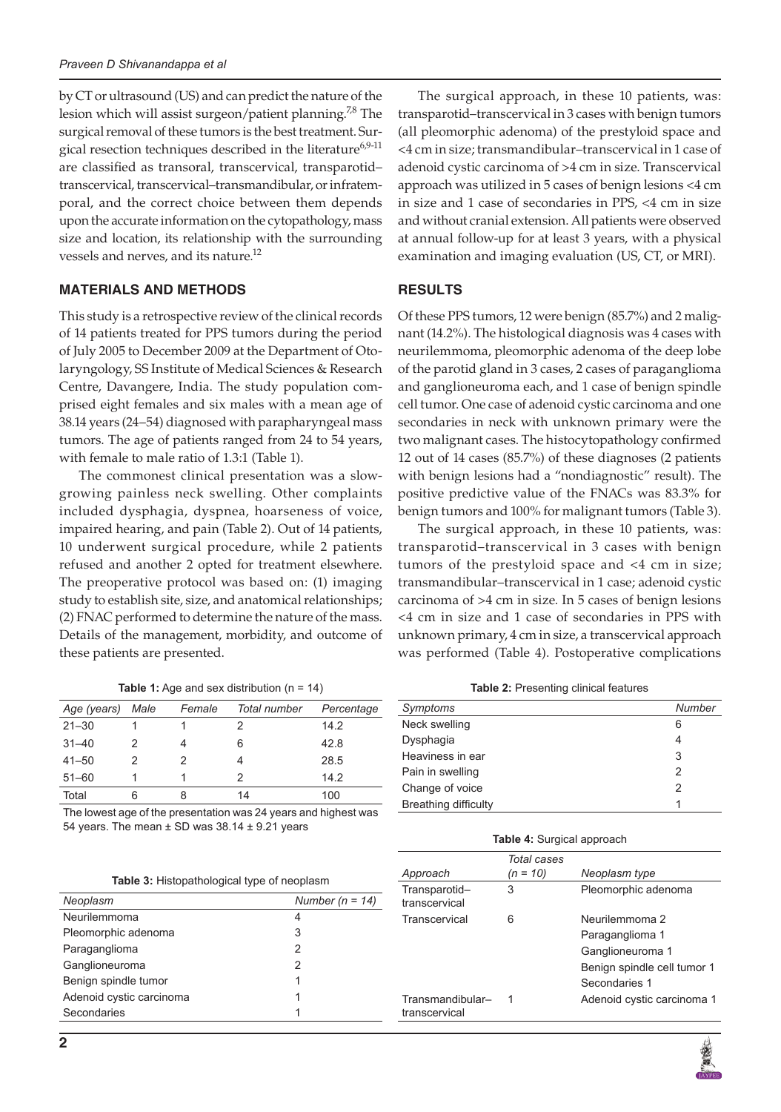by CT or ultrasound (US) and can predict the nature of the lesion which will assist surgeon/patient planning.<sup>7,8</sup> The surgical removal of these tumors is the best treatment. Surgical resection techniques described in the literature<sup>6,9-11</sup> are classified as transoral, transcervical, transparotid– transcervical, transcervical–transmandibular, or infratemporal, and the correct choice between them depends upon the accurate information on the cytopathology, mass size and location, its relationship with the surrounding vessels and nerves, and its nature.12

# **MATERIALS AND METHODS**

This study is a retrospective review of the clinical records of 14 patients treated for PPS tumors during the period of July 2005 to December 2009 at the Department of Otolaryngology, SS Institute of Medical Sciences & Research Centre, Davangere, India. The study population comprised eight females and six males with a mean age of 38.14 years (24–54) diagnosed with parapharyngeal mass tumors. The age of patients ranged from 24 to 54 years, with female to male ratio of 1.3:1 (Table 1).

The commonest clinical presentation was a slowgrowing painless neck swelling. Other complaints included dysphagia, dyspnea, hoarseness of voice, impaired hearing, and pain (Table 2). Out of 14 patients, 10 underwent surgical procedure, while 2 patients refused and another 2 opted for treatment elsewhere. The preoperative protocol was based on: (1) imaging study to establish site, size, and anatomical relationships; (2) FNAC performed to determine the nature of the mass. Details of the management, morbidity, and outcome of these patients are presented.

**Table 1:** Age and sex distribution (n = 14)

| Age (years) | Male | Female | Total number | Percentage |
|-------------|------|--------|--------------|------------|
| $21 - 30$   |      |        |              | 14.2       |
| $31 - 40$   |      | 4      | 6            | 42.8       |
| $41 - 50$   | 2    | 2      |              | 28.5       |
| $51 - 60$   |      |        | 2            | 14.2       |
| Total       | 6    | 8      | 14           | 100        |

The lowest age of the presentation was 24 years and highest was 54 years. The mean  $\pm$  SD was 38.14  $\pm$  9.21 years

| Neoplasm                 | Number ( $n = 14$ ) |
|--------------------------|---------------------|
| Neurilemmoma             | 4                   |
| Pleomorphic adenoma      | 3                   |
| Paraganglioma            | 2                   |
| Ganglioneuroma           | 2                   |
| Benign spindle tumor     | 1                   |
| Adenoid cystic carcinoma |                     |
| Secondaries              |                     |

The surgical approach, in these 10 patients, was: transparotid–transcervical in 3 cases with benign tumors (all pleomorphic adenoma) of the prestyloid space and <4 cm in size; transmandibular–transcervical in 1 case of adenoid cystic carcinoma of >4 cm in size. Transcervical approach was utilized in 5 cases of benign lesions <4 cm in size and 1 case of secondaries in PPS, <4 cm in size and without cranial extension. All patients were observed at annual follow-up for at least 3 years, with a physical examination and imaging evaluation (US, CT, or MRI).

# **RESULTS**

Of these PPS tumors, 12 were benign (85.7%) and 2 malignant (14.2%). The histological diagnosis was 4 cases with neurilemmoma, pleomorphic adenoma of the deep lobe of the parotid gland in 3 cases, 2 cases of paraganglioma and ganglioneuroma each, and 1 case of benign spindle cell tumor. One case of adenoid cystic carcinoma and one secondaries in neck with unknown primary were the two malignant cases. The histocytopathology confirmed 12 out of 14 cases (85.7%) of these diagnoses (2 patients with benign lesions had a "nondiagnostic" result). The positive predictive value of the FNACs was 83.3% for benign tumors and 100% for malignant tumors (Table 3).

The surgical approach, in these 10 patients, was: transparotid–transcervical in 3 cases with benign tumors of the prestyloid space and <4 cm in size; transmandibular–transcervical in 1 case; adenoid cystic carcinoma of >4 cm in size. In 5 cases of benign lesions <4 cm in size and 1 case of secondaries in PPS with unknown primary, 4 cm in size, a transcervical approach was performed (Table 4). Postoperative complications

**Table 2:** Presenting clinical features

| Symptoms                    | Number |
|-----------------------------|--------|
| Neck swelling               | 6      |
| Dysphagia                   | 4      |
| Heaviness in ear            | 3      |
| Pain in swelling            | 2      |
| Change of voice             | 2      |
| <b>Breathing difficulty</b> |        |

| Table 4: Surgical approach |  |  |
|----------------------------|--|--|
|----------------------------|--|--|

| Approach                          | Total cases<br>$(n = 10)$ | Neoplasm type                                                                                         |
|-----------------------------------|---------------------------|-------------------------------------------------------------------------------------------------------|
| Transparotid-<br>transcervical    | 3                         | Pleomorphic adenoma                                                                                   |
| Transcervical                     | 6                         | Neurilemmoma 2<br>Paraganglioma 1<br>Ganglioneuroma 1<br>Benign spindle cell tumor 1<br>Secondaries 1 |
| Transmandibular-<br>transcervical |                           | Adenoid cystic carcinoma 1                                                                            |
|                                   |                           |                                                                                                       |

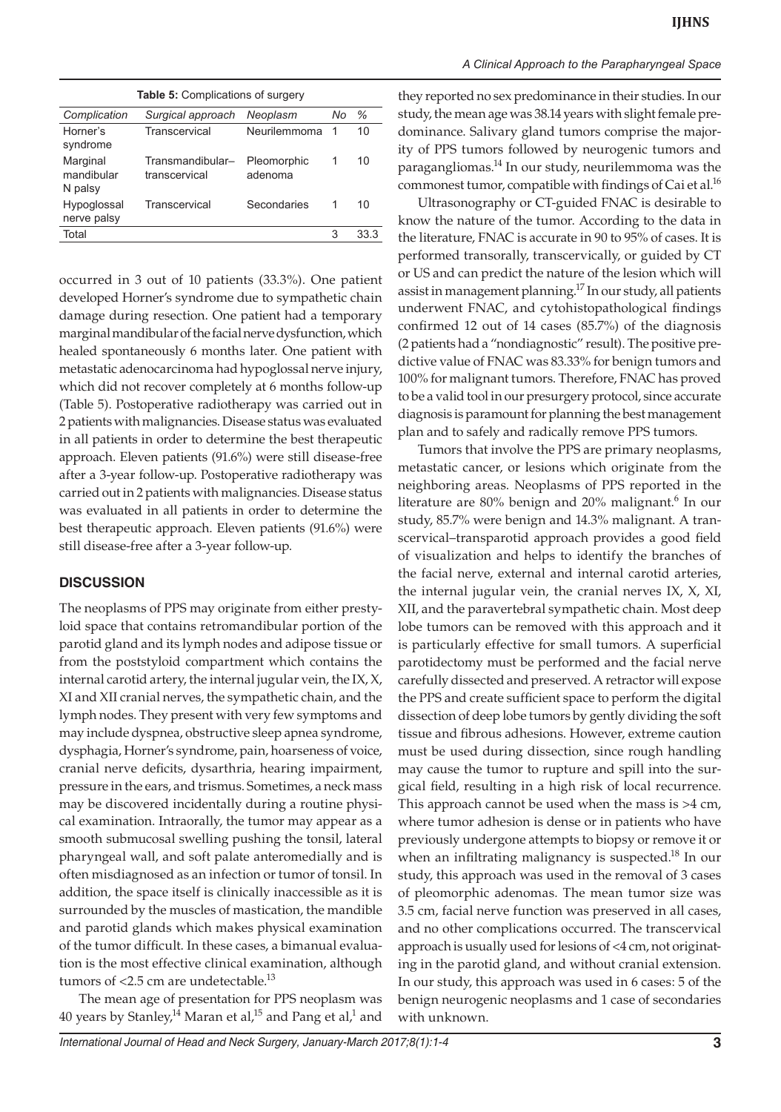| <b>Table 5: Complications of surgery</b> |                                   |                        |    |      |
|------------------------------------------|-----------------------------------|------------------------|----|------|
| Complication                             | Surgical approach                 | Neoplasm               | No | %    |
| Horner's<br>syndrome                     | Transcervical                     | Neurilemmoma           | 1  | 10   |
| Marginal<br>mandibular<br>N palsy        | Transmandibular-<br>transcervical | Pleomorphic<br>adenoma | 1  | 10   |
| Hypoglossal<br>nerve palsy               | Transcervical                     | Secondaries            |    | 10   |
| Total                                    |                                   |                        | 3  | 33.3 |
|                                          |                                   |                        |    |      |

occurred in 3 out of 10 patients (33.3%). One patient developed Horner's syndrome due to sympathetic chain damage during resection. One patient had a temporary marginal mandibular of the facial nerve dysfunction, which healed spontaneously 6 months later. One patient with metastatic adenocarcinoma had hypoglossal nerve injury, which did not recover completely at 6 months follow-up (Table 5). Postoperative radiotherapy was carried out in 2 patients with malignancies. Disease status was evaluated in all patients in order to determine the best therapeutic approach. Eleven patients (91.6%) were still disease-free after a 3-year follow-up. Postoperative radiotherapy was carried out in 2 patients with malignancies. Disease status was evaluated in all patients in order to determine the best therapeutic approach. Eleven patients (91.6%) were still disease-free after a 3-year follow-up.

# **DISCUSSION**

The neoplasms of PPS may originate from either prestyloid space that contains retromandibular portion of the parotid gland and its lymph nodes and adipose tissue or from the poststyloid compartment which contains the internal carotid artery, the internal jugular vein, the IX, X, XI and XII cranial nerves, the sympathetic chain, and the lymph nodes. They present with very few symptoms and may include dyspnea, obstructive sleep apnea syndrome, dysphagia, Horner's syndrome, pain, hoarseness of voice, cranial nerve deficits, dysarthria, hearing impairment, pressure in the ears, and trismus. Sometimes, a neck mass may be discovered incidentally during a routine physical examination. Intraorally, the tumor may appear as a smooth submucosal swelling pushing the tonsil, lateral pharyngeal wall, and soft palate anteromedially and is often misdiagnosed as an infection or tumor of tonsil. In addition, the space itself is clinically inaccessible as it is surrounded by the muscles of mastication, the mandible and parotid glands which makes physical examination of the tumor difficult. In these cases, a bimanual evaluation is the most effective clinical examination, although tumors of  $<$ 2.5 cm are undetectable.<sup>13</sup>

The mean age of presentation for PPS neoplasm was 40 years by Stanley, $^{14}$  Maran et al, $^{15}$  and Pang et al, $^{1}$  and

#### *A Clinical Approach to the Parapharyngeal Space*

they reported no sex predominance in their studies. In our study, the mean age was 38.14 years with slight female predominance. Salivary gland tumors comprise the majority of PPS tumors followed by neurogenic tumors and paragangliomas. $^{14}$  In our study, neurilemmoma was the commonest tumor, compatible with findings of Cai et al.<sup>16</sup>

Ultrasonography or CT-guided FNAC is desirable to know the nature of the tumor. According to the data in the literature, FNAC is accurate in 90 to 95% of cases. It is performed transorally, transcervically, or guided by CT or US and can predict the nature of the lesion which will assist in management planning.<sup>17</sup> In our study, all patients underwent FNAC, and cytohistopathological findings confirmed 12 out of 14 cases (85.7%) of the diagnosis (2 patients had a "nondiagnostic" result). The positive predictive value of FNAC was 83.33% for benign tumors and 100% for malignant tumors. Therefore, FNAC has proved to be a valid tool in our presurgery protocol, since accurate diagnosis is paramount for planning the best management plan and to safely and radically remove PPS tumors.

Tumors that involve the PPS are primary neoplasms, metastatic cancer, or lesions which originate from the neighboring areas. Neoplasms of PPS reported in the literature are 80% benign and 20% malignant.<sup>6</sup> In our study, 85.7% were benign and 14.3% malignant. A transcervical–transparotid approach provides a good field of visualization and helps to identify the branches of the facial nerve, external and internal carotid arteries, the internal jugular vein, the cranial nerves IX, X, XI, XII, and the paravertebral sympathetic chain. Most deep lobe tumors can be removed with this approach and it is particularly effective for small tumors. A superficial parotidectomy must be performed and the facial nerve carefully dissected and preserved. A retractor will expose the PPS and create sufficient space to perform the digital dissection of deep lobe tumors by gently dividing the soft tissue and fibrous adhesions. However, extreme caution must be used during dissection, since rough handling may cause the tumor to rupture and spill into the surgical field, resulting in a high risk of local recurrence. This approach cannot be used when the mass is >4 cm, where tumor adhesion is dense or in patients who have previously undergone attempts to biopsy or remove it or when an infiltrating malignancy is suspected.<sup>18</sup> In our study, this approach was used in the removal of 3 cases of pleomorphic adenomas. The mean tumor size was 3.5 cm, facial nerve function was preserved in all cases, and no other complications occurred. The transcervical approach is usually used for lesions of <4 cm, not originating in the parotid gland, and without cranial extension. In our study, this approach was used in 6 cases: 5 of the benign neurogenic neoplasms and 1 case of secondaries with unknown.